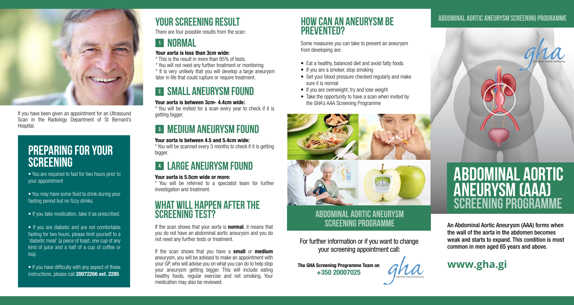

If you have been given an appointment for an Ultrasound Scan in the Radiology Department of St Bernard's Hospital.

# Preparing for your **SCREENING**

• You are required to fast for two hours prior to your appointment

• You may have some fluid to drink during your fasting period but no fizzy drinks.

• If you take medication, take it as prescribed.

• If you are diabetic and are not comfortable fasting for two hours, please limit yourself to a 'diabetic meal' (a piece of toast, one cup of any kind of juice and a half of a cup of coffee or tea).

 $\bullet$  If you have difficulty with any aspect of these instructions, please call **20072266 ext. 2285** 

# YOUR SCREENING RESULT

There are four possible results from the scan:

# **EL NORMAL**

#### Your aorta is less than 3cm wide:

\* This is the result in more than 95% of tests.

\* You will not need any further treatment or monitoring

\* It is very unlikely that you will develop a large aneurysm later in life that could rupture or require treatment.

# 2. Small aneurysm found

#### Your aorta is between 3cm- 4.4cm wide:

\* You will be invited for a scan every year to check if it is getting bigger.

# 3. Medium aneurysm found

Your aorta is between 4.5 and 5.4cm wide: \* You will be scanned every 3 months to check if it is getting bigger.

# 4. LARGE aneurysm found

### Your aorta is 5.5cm wide or more:

\* You will be referred to a specialist team for further investigation and treatment.

## WHAT WILL HAPPEN AFTER THE screening test?

If the scan shows that your aorta is **normal**, it means that you do not have an abdominal aortic aneurysm and you do not need any further tests or treatment.

If the scan shows that you have a **small** or **medium** aneurysm, you will be advised to make an appointment with your GP, who will advise you on what you can do to help stop your aneurysm getting bigger. This will include eating healthy foods, regular exercise and not smoking. Your medication may also be reviewed.

### How can an aneurysm be prevented?

Some measures you can take to prevent an aneurysm from developing are:

- Eat a healthy, balanced diet and avoid fatty foods
- If you are a smoker, stop smoking
- Get your blood pressure checked regularly and make sure it is normal
- If you are overweight, try and lose weight
- Take the opportunity to have a scan when invited by the GHA's AAA Screening Programme



### ABDOMINAL AORTIC ANEURYSM SCREENING PROGRAMME

For further information or if you want to change your screening appointment call:

The GHA Screening Programme Team on +350 20007025

### Abdominal Aortic Aneurysm SCREENING PROGRAMME



# Abdominal Aortic Aneurysm (AAA) SCREENING PROGRAMME

An Abdominal Aortic Aneurysm (AAA) forms when the wall of the aorta in the abdomen becomes weak and starts to expand. This condition is most common in men aged 65 years and above.